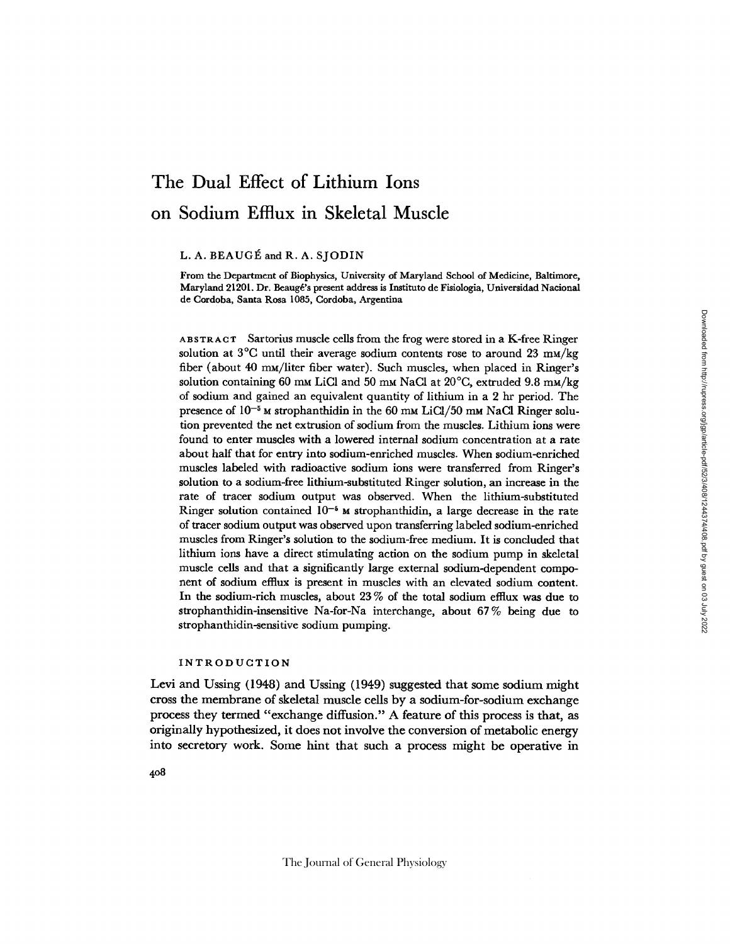# **The Dual Effect of Lithium Ions on Sodium Efflux in Skeletal Muscle**

L. A. BEAUGÉ and R. A. SJODIN

From the Department of Biophysics, University of Maryland School of Medicine, Baltimore, Maryland 21201. Dr. Beaugé's present address is Instituto de Fisiologia, Universidad Nacional de Cordoba, Santa Rosa 1085, Cordoba, Argentina

ABSTRACT Sartorius muscle cells from the frog were stored in a K-free Ringer solution at  $3^{\circ}$ C until their average sodium contents rose to around 23 mm/kg fiber (about 40 mM/liter fiber water). Such muscles, when placed in Ringer's solution containing 60 mm LiCl and 50 mm NaCl at  $20^{\circ}$ C, extruded 9.8 mm/kg of sodium and gained an equivalent quantity of lithium in a 2 hr period. The presence of  $10^{-5}$  M strophanthidin in the 60 mM LiCl/50 mM NaCl Ringer solution prevented the net extrusion of sodium from the muscles. Lithium ions were found to enter muscles with a lowered internal sodium concentration at a rate about half that for entry into sodium-enriched muscles. When sodium-enriched muscles labeled with radioactive sodium ions were transferred from Ringer's solution to a sodium-free lithium-substituted Ringer solution, an increase in the rate of tracer sodium output was observed. When the lithium-substituted Ringer solution contained  $10^{-5}$  M strophanthidin, a large decrease in the rate of tracer sodium output was observed upon transferring labeled sodium-enriched muscles from Ringer's solution to the sodium-free medium. It is concluded that lithium ions have a direct stimulating action on the sodium pump in skeletal muscle cells and that a significantly large external sodium-dependent component of sodium efflux is present in muscles with an elevated sodium content. In the sodium-rich muscles, about 23 % of the total sodium efllux was due to strophanthidin-insensitive Na-for-Na interchange, about 67% being due to strophanthidin-sensitive sodium pumping.

### INTRODUCTION

Levi and Ussing (1948) and Ussing (1949) suggested that some sodium might cross the membrane of skeletal muscle cells by a sodium-for-sodium exchange process they termed "exchange diffusion." A feature of this process is that, as originally hypothesized, it does not involve the conversion of metabolic energy into secretory work. Some hint that such a process might be operative in

4o8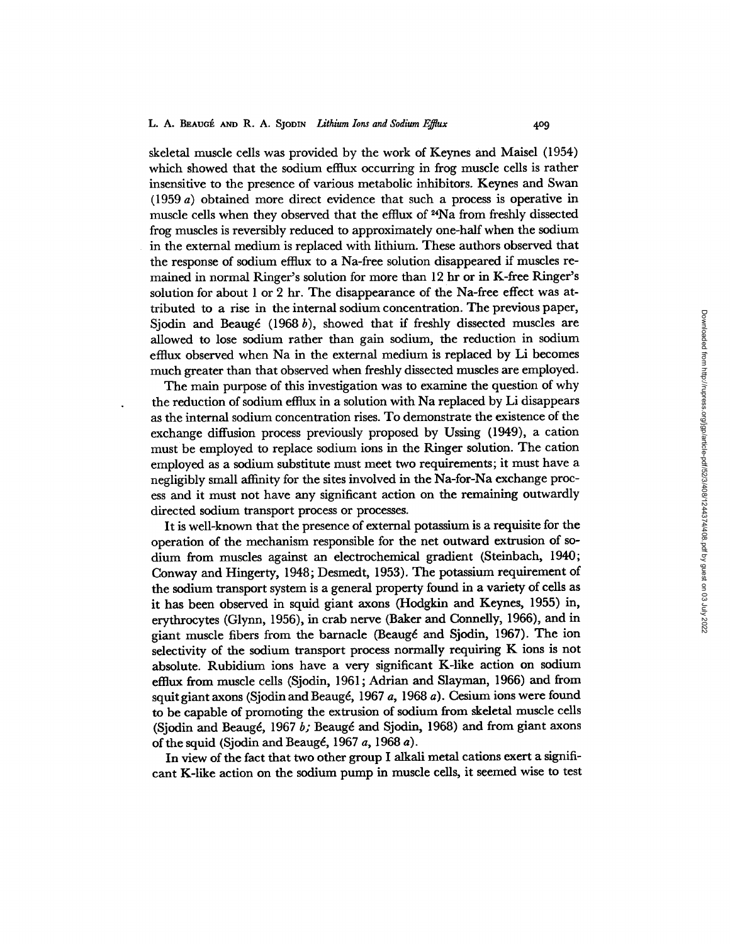skeletal muscle cells was provided by the work of Keynes and Maisel (1954) which showed that the sodium efflux occurring in frog muscle cells is rather insensitive to the presence of various metabolic inhibitors. Keynes and Swan (1959 a) obtained more direct evidence that such a process is operative in muscle cells when they observed that the efflux of 24Na from freshly dissected frog muscles is reversibly reduced to approximately one-half when the sodium in the external medium is replaced with lithium. These authors observed that the response of sodium efflux to a Na-free solution disappeared if muscles remained in normal Ringer's solution for more than 12 hr or in K-free Ringer's solution for about 1 or 2 hr. The disappearance of the Na-free effect was attributed to a rise in the internal sodium concentration. The previous paper, Sjodin and Beaugé (1968 b), showed that if freshly dissected muscles are allowed to lose sodium rather than gain sodium, the reduction in sodium efflux observed when Na in the external medium is replaced by Li becomes much greater than that observed when freshly dissected muscles are employed.

The main purpose of this investigation was to examine the question of why the reduction of sodium efitux in a solution with Na replaced by Li disappears as the internal sodium concentration rises. To demonstrate the existence of the exchange diffusion process previously proposed by Ussing (1949), a cation must be employed to replace sodium ions in the Ringer solution. The cation employed as a sodium substitute must meet two requirements; it must have a negligibly small affinity for the sites involved in the Na-for-Na exchange process and it must not have any significant action on the remaining outwardly directed sodium transport process or processes.

It is well-known that the presence of external potassium is a requisite for the operation of the mechanism responsible for the net outward extrusion of sodium from muscles against an electrochemical gradient (Steinbach, 1940; Conway and Hingerty, 1948; Desmedt, 1953). The potassium requirement of the sodium transport system is a general property found in a variety of cells as it has been observed in squid giant axons (Hodgkin and Keynes, 1955) in, erythrocytes (Glynn, 1956), in crab nerve (Baker and Connelly, 1966), and in giant muscle fibers from the barnacle (Beaugé and Sjodin, 1967). The ion selectivity of the sodium transport process normally requiring K ions is not absolute. Rubidium ions have a very significant K-like action on sodium efflux from muscle cells (Sjodin, 1961; Adrian and Slayman, 1966) and from squit giant axons (Sjodin and Beaugd, 1967 *a,* 1968 a). Cesium ions were found to be capable of promoting the extrusion of sodium from skeletal muscle cells (Sjodin and Beaugé, 1967 *b;* Beaugé and Sjodin, 1968) and from giant axons of the squid (Sjodin and Beaugé, 1967 *a*, 1968 *a*).

In view of the fact that two other group I alkali metal cations exert a significant K-like action on the sodium pump in muscle cells, it seemed wise to test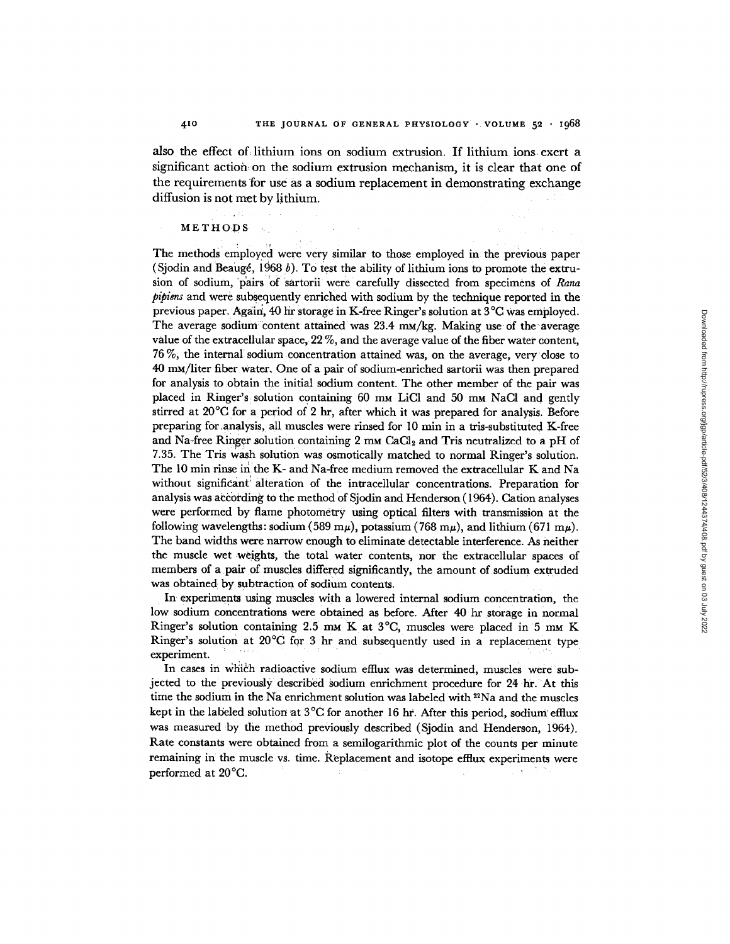also the effect of lithium ions on sodium extrusion. If lithium ions exert a significant action on the sodium extrusion mechanism, it is clear that one of the requirements for use as a sodium replacement in demonstrating exchange diffusion is not met by lithium.

## METHODS •

The methods' employed were very similar to those employed in the previous paper (Sjodin and Beauge, 1968 b). To test the ability of lithium ions to promote the extrusion of sodium, pairs of sartorii were carefully dissected from specimens of Rana *pipiens* and were subsequently enriched with sodium by the technique reported in the previous paper. Again, 40 hr storage in K-free Ringer's solution at 3°C Was employed. The average sodium content attained was  $23.4 \, \text{m}$ /kg. Making use of the average value of the extracellular space, *22 %,* and the average value of the fiber water content, 76 %, the internal sodium concentration attained was, on the average, very :close to 40 mM/liter fiber Water. One of a pair of sodium-enriched sartorii was then prepared for analysis to obtain the initial sodium content. The other member of the pair was placed in Ringer's solution containing 60 mm LiCl and 50 mm NaCl and gently stirred at 20°C for a period of 2 hr, after which it was prepared for analysis. Before preparing for analysis, all muscles were rinsed for 10 min in a tris-substituted K-free and Na-free Ringer solution containing  $2 \text{ mm } \text{CaCl}_2$  and Tris neutralized to a pH of 7.35. The Tris wash solution was osmotically matched to normal Ringer's solution. The 10 min rinse in the K- and Na-free medium removed the extracellular K and Na without significant: alteration of the intracellular concentrations. Preparation for analysis was actording to the method of Sjodin and Henderson (1964). Cation analyses were performed by flame photometry using optical filters with transmission at the following wavelengths: sodium (589 m $\mu$ ), potassium (768 m $\mu$ ), and lithium (671 m $\mu$ ). The band widths were narrow enough to eliminate detectable interference. As neither the muscle wet weights, the total water contents, nor the extracellular spaces of members of a pair of muscles differed significantly, the amount of sodium extruded was obtained by subtraction of sodium contents.

In experiments using muscles with a lowered internal sodium concentration, the low sodium concentrations were Obtained as before. After 40 hr storage in normal Ringer's solution containing 2.5 mm K at  $3^{\circ}C$ , muscles were placed in 5 mm K Ringer's solution at 20°C for 3 hr and suhsequenfly used in a replacement type experiment.

In cases in which radioactive sodium efflux was determined, muscles were subjected to the previously described sodium enrichment procedure for 24 hr. At this time the sodium in the Na enrichment solution was labeled with <sup>22</sup>Na and the muscles kept in the labeled solution at 3°C for another 16 hr. After this period, sodium efflux was measured-by the method previously described (Sjodin and Henderson, 1964). Rate constants were obtained from a semilogarithmic plot of the counts per minute remaining in the muscle vs. time. Replacement and isotope effiux experiments were performed at 20°C.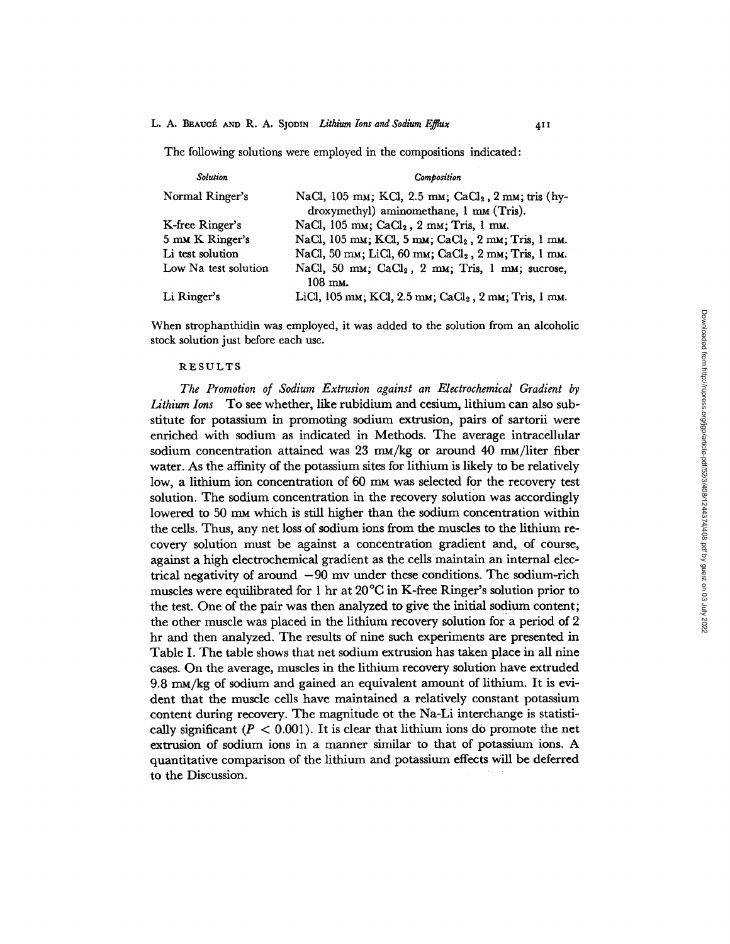## L. A. BEAUGÉ AND R. A. SJODIN *Lithium Ions and Sodium Efflux* 411

The following solutions were employed in the compositions indicated:

| <b>Solution</b>      | <b>Composition</b>                                                                                        |
|----------------------|-----------------------------------------------------------------------------------------------------------|
| Normal Ringer's      | NaCl, 105 mm; KCl, 2.5 mm; CaCl <sub>2</sub> , 2 mm; tris (hy-<br>droxymethyl) aminomethane, 1 mm (Tris). |
| K-free Ringer's      | NaCl, 105 mm; $CaCl2$ , 2 mm; Tris, 1 mm.                                                                 |
| 5 mm K Ringer's      | NaCl, 105 mm; KCl, 5 mm; CaCl <sub>2</sub> , 2 mm; Tris, 1 mm.                                            |
| Li test solution     | NaCl, 50 mm; LiCl, 60 mm; $CaCl2$ , 2 mm; Tris, 1 mm.                                                     |
| Low Na test solution | NaCl, 50 mm; $CaCl2$ , 2 mm; Tris, 1 mm; sucrose,<br>$108 \text{ mm}$ .                                   |
| Li Ringer's          | LiCl, 105 mm; KCl, 2.5 mm; CaCl <sub>2</sub> , 2 mm; Tris, 1 mm.                                          |

When strophanthidin was employed, it was added to the solution from an alcoholic stock solution just before each use.

#### RESULTS

The Promotion of Sodium Extrusion against an Electrochemical Gradient by *Lithium Ions* To see whether, like rubidium and cesium, lithium can also substitute for potassium in promoting sodium extrusion, pairs of sartorii were enriched with sodium as indicated in Methods. The average intracellular sodium concentration attained was  $23 \text{ mM/kg}$  or around  $40 \text{ mM/liter fiber}$ water. As the affinity of the potassium sites for lithium is likely to be relatively low, a lithium ion concentration of 60 mm was selected for the recovery test solution. The sodium concentration in the recovery solution was accordingly lowered to 50 mm which is still higher than the sodium concentration within the cells. Thus, any net loss of sodium ions from the muscles to the lithium recovery solution must be against a concentration gradient and, of course, against a high electrochemical gradient as the cells maintain an internal electrical negativity of around  $-90$  mv under these conditions. The sodium-rich muscles were equilibrated for 1 hr at 20°C in K-free Ringer's solution prior to the test. One of the pair was then analyzed to give the initial sodium content; the other muscle was placed in the lithium recovery solution for a period of 2 hr and then analyzed. The results of nine such experiments are presented in Table I. The table shows that net sodium extrusion has taken place in all nine cases. On the average, muscles in the lithium recovery solution have extruded 9.8 mM/kg of sodium and gained an equivalent amount of lithium. It is evident that the muscle cells have maintained a relatively constant potassium content during recovery. The magnitude ot the Na-Li interchange is statistically significant ( $P < 0.001$ ). It is clear that lithium ions do promote the net extrusion of sodium ions in a manner similar to that of potassium ions. A quantitative comparison of the lithium and potassium effects Will be deferred to the Discussion.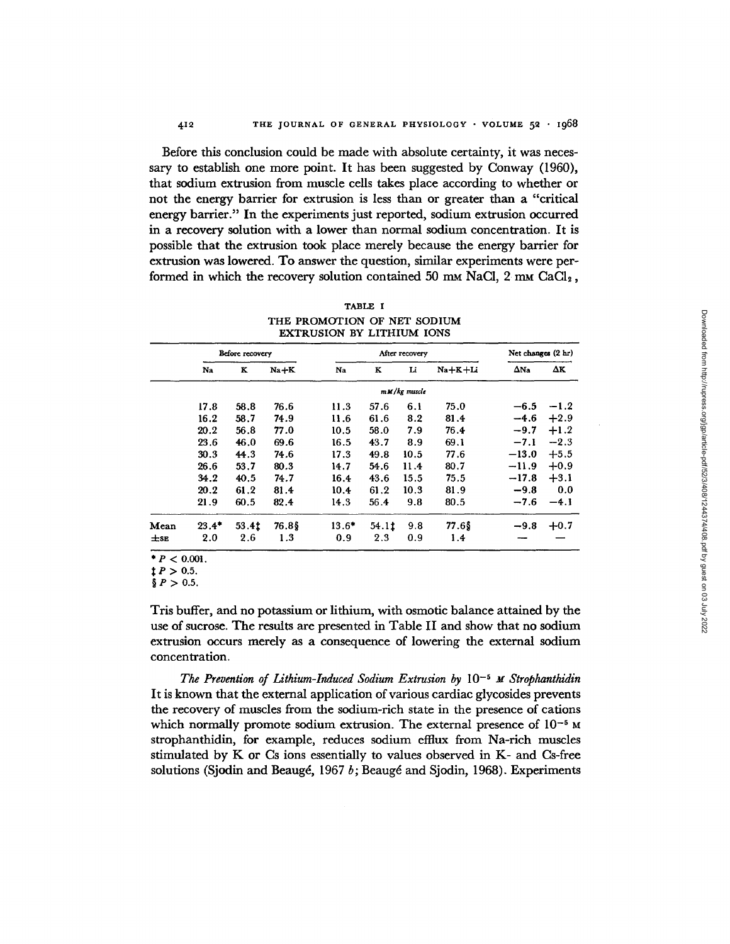Before this conclusion could be made with absolute certainty, it was necessary to establish one more point. It has been suggested by Conway (1960), that sodium extrusion from muscle cells takes place according to whether or not the energy barrier for extrusion is less than or greater than a "critical energy barrier." In the experiments just reported, sodium extrusion occurred in a recovery solution with a lower than normal sodium concentration. It is possible that the extrusion took place merely because the energy barrier for extrusion was lowered. To answer the question, similar experiments were performed in which the recovery solution contained 50  $\text{mM}$  NaCl, 2  $\text{mM}$  CaCl<sub>2</sub>,

| TABLE I                          |
|----------------------------------|
| THE PROMOTION OF NET SODIUM      |
| <b>EXTRUSION BY LITHIUM IONS</b> |

| Before recovery |         | After recovery |        |         |       | Net changes (2 hr) |           |             |        |
|-----------------|---------|----------------|--------|---------|-------|--------------------|-----------|-------------|--------|
|                 | Na      | K              | $Na+K$ | Na      | K     | Li                 | $Na+K+Li$ | $\Delta$ Na | ΔΚ     |
|                 |         |                |        |         |       | $m M/kg$ muscle    |           |             |        |
|                 | 17.8    | 58.8           | 76.6   | 11.3    | 57.6  | 6.1                | 75.0      | $-6.5$      | $-1.2$ |
|                 | 16.2    | 58.7           | 74.9   | 11.6    | 61.6  | 8.2                | 81.4      | $-4.6$      | $+2.9$ |
|                 | 20.2    | 56.8           | 77.0   | 10.5    | 58.0  | 7.9                | 76.4      | $-9.7$      | $+1.2$ |
|                 | 23.6    | 46.0           | 69.6   | 16.5    | 43.7  | 8.9                | 69.1      | $-7.1$      | $-2.3$ |
|                 | 30.3    | 44.3           | 74.6   | 17.3    | 49.8  | 10.5               | 77.6      | $-13.0$     | $+5.5$ |
|                 | 26.6    | 53.7           | 80.3   | 14.7    | 54.6  | 11.4               | 80.7      | $-11.9$     | $+0.9$ |
|                 | 34.2    | 40.5           | 74.7   | 16.4    | 43.6  | 15.5               | 75.5      | $-17.8$     | $+3.1$ |
|                 | 20.2    | 61.2           | 81.4   | 10.4    | 61.2  | 10.3               | 81.9      | $-9.8$      | 0.0    |
|                 | 21.9    | 60.5           | 82.4   | 14.3    | 56.4  | 9.8                | 80.5      | $-7.6$      | $-4.1$ |
| Mean            | $23.4*$ | 53.4t          | 76.8\$ | $13.6*$ | 54.11 | 9.8                | $77.6$ \$ | $-9.8$      | $+0.7$ |
| $\pm$ SE        | 2.0     | 2.6            | 1.3    | 0.9     | 2.3   | 0.9                | 1.4       |             |        |

 $* P < 0.001$ .

 $\ddagger$  *P* > 0.5.

 $P > 0.5$ .

Tris buffer, and no potassium or lithium, with osmotic balance attained by the use of sucrose. The results are presented in Table II and show that no sodium extrusion occurs merely as a consequence of lowering the external sodium concentration.

*The Prevention of Lithium-Induced Sodium Extrusion by* 10<sup>−5</sup> *M Strophanthidin* It is known that the external application of various cardiac glycosides prevents the recovery of muscles from the sodium-rich state in the presence of cations which normally promote sodium extrusion. The external presence of  $10^{-5}$  M strophanthidin, for example, reduces sodium efflux from Na-rich muscles stimulated by K or Cs ions essentially to values observed in K- and Cs-free solutions (Sjodin and Beaugé, 1967 b; Beaugé and Sjodin, 1968). Experiments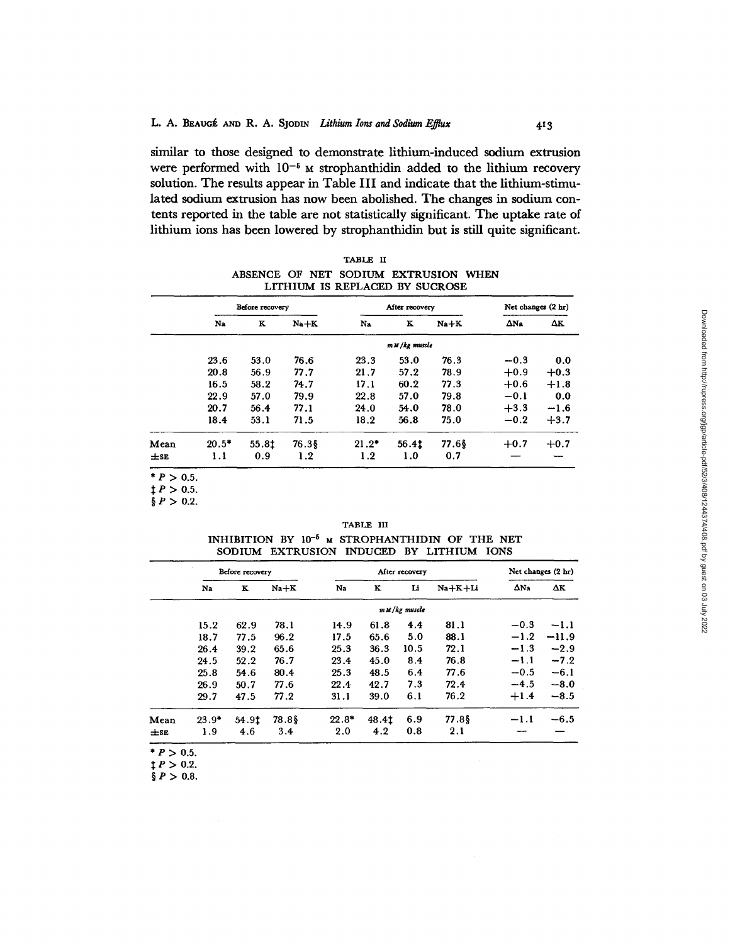**similar to those designed to demonstrate lithium-induced sodium extrusion**  were performed with  $10^{-5}$  M strophanthidin added to the lithium recovery **solution. The results appear in Table III and indicate that the lithium-stimulated sodium extrusion has now been abolished. The changes in sodium contents reported in the table are not statistically significant. The uptake rate of lithium ions has been lowered by strophanthidin but is still quite significant.** 

TABLE H ABSENCE OF NET SODIUM EXTRUSION WHEN LITHIUM IS REPLACED BY SUCROSE

|               |         | Before recovery |        |         | After recovery  |        | Net changes (2 hr) |        |
|---------------|---------|-----------------|--------|---------|-----------------|--------|--------------------|--------|
|               | Na      | ĸ               | $Na+K$ | Na      | K               | $Na+K$ | $\Delta$ Na        | Δκ     |
|               |         |                 |        |         | $m M/kg$ muscle |        |                    |        |
|               | 23.6    | 53.0            | 76.6   | 23.3    | 53.0            | 76.3   | $-0.3$             | 0.0    |
|               | 20.8    | 56.9            | 77.7   | 21.7    | 57.2            | 78.9   | $+0.9$             | $+0.3$ |
|               | 16.5    | 58.2            | 74.7   | 17.1    | 60.2            | 77.3   | $+0.6$             | $+1.8$ |
|               | 22.9    | 57.0            | 79.9   | 22.8    | 57.0            | 79.8   | $-0.1$             | 0.0    |
|               | 20.7    | 56.4            | 77.1   | 24.0    | 54.0            | 78.0   | $+3.3$             | $-1.6$ |
|               | 18.4    | 53.1            | 71.5   | 18.2    | 56.8            | 75.0   | $-0.2$             | $+3.7$ |
| Mean          | $20.5*$ | 55.81           | 76.3\$ | $21.2*$ | 56.41           | 77.6\$ | $+0.7$             | $+0.7$ |
| $\pm$ SE      | 1.1     | 0.9             | 1.2    | 1.2     | 1.0             | 0.7    |                    |        |
| * $P > 0.5$ . |         |                 |        |         |                 |        |                    |        |

 $\ddagger P > 0.5$ .  $\S P > 0.2$ .

|  | TABLE III                                           |  |  |
|--|-----------------------------------------------------|--|--|
|  | INHIBITION BY $10^{-5}$ M STROPHANTHIDIN OF THE NET |  |  |
|  | SODIUM EXTRUSION INDUCED BY LITHIUM IONS            |  |  |

| Before recovery |       |        | After recovery |       |      |                 | Net changes (2 hr) |         |
|-----------------|-------|--------|----------------|-------|------|-----------------|--------------------|---------|
| Na              | K     | $Na+K$ | N <sub>a</sub> | K     | Li   | $Na+K+Li$       | $\Delta$ Na        | ΔΚ      |
|                 |       |        |                |       |      |                 |                    |         |
| 15.2            | 62.9  | 78.1   | 14.9           | 61.8  | 4.4  | 81.1            | $-0.3$             | $-1.1$  |
| 18.7            | 77.5  | 96.2   | 17.5           | 65.6  | 5.0  | 88.1            | $-1.2$             | $-11.9$ |
| 26.4            | 39.2  | 65.6   | 25.3           | 36.3  | 10.5 | 72.1            | $-1.3$             | $-2.9$  |
| 24.5            | 52.2  | 76.7   | 23.4           | 45.0  | 8.4  | 76.8            | $-1.1$             | $-7.2$  |
| 25.8            | 54.6  | 80.4   | 25.3           | 48.5  | 6.4  | 77.6            | $-0.5$             | $-6.1$  |
| 26.9            | 50.7  | 77.6   | 22.4           | 42.7  | 7.3  | 72.4            | $-4.5$             | $-8.0$  |
| 29.7            | 47.5  | 77.2   | 31.1           | 39.0  | 6.1  | 76.2            | $+1.4$             | $-8.5$  |
| $23.9*$         | 54.9t | 78.8\$ | $22.8*$        | 48.4t | 6.9  | 77.8\$          | $-1.1$             | $-6.5$  |
| 1.9             | 4.6   | 3.4    | 2.0            | 4.2   | 0.8  | 2.1             |                    |         |
|                 |       |        |                |       |      | $m M/kg$ muscle |                    |         |

 $P > 0.5$ .

 $\ddagger P > 0.2$ .

 $\S P > 0.8$ .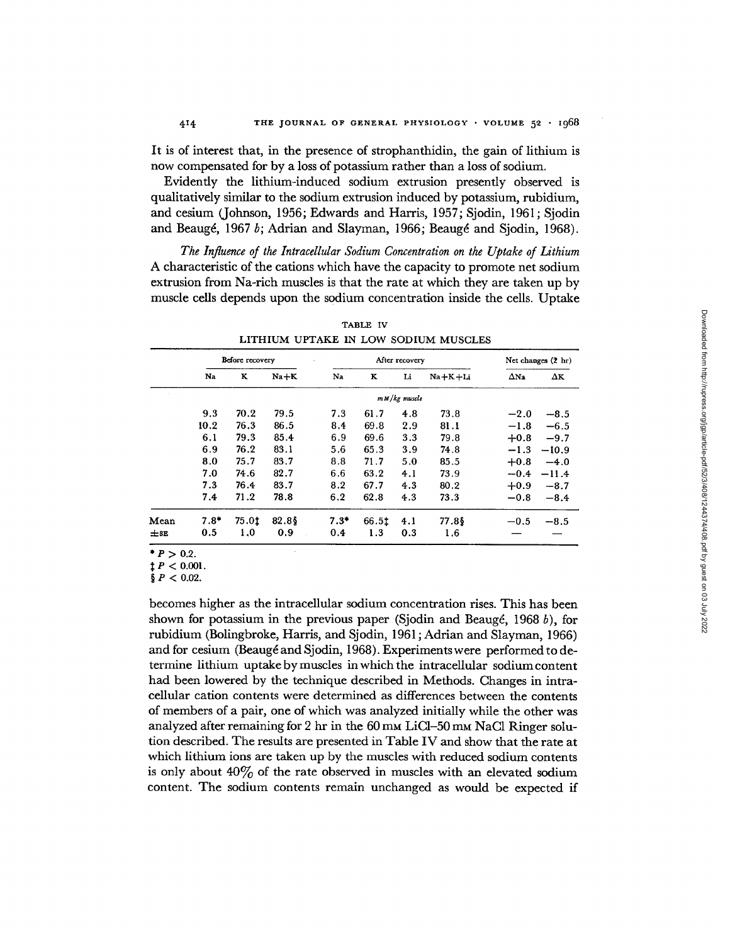It is of interest that, in the presence of strophanthidin, the gain of lithium is now compensated for by a loss of potassium rather than a loss of sodium.

Evidently the lithium-induced sodium extrusion presently observed is qualitatively similar to the sodium extrusion induced by potassium, rubidium, and cesium (Johnson, 1956; Edwards and Harris, 1957; Sjodin, 1961; Sjodin and Beaugé, 1967 b; Adrian and Slayman, 1966; Beaugé and Sjodin, 1968).

*The Influence of the Intracellular Sodium Concentration on the Uptake of Lithium*  A characteristic of the cations which have the capacity to promote net sodium extrusion from Na-rich muscles is that the rate at which they are taken up by muscle cells depends upon the sodium concentration inside the cells. Uptake

|          | Before recovery |       |          | After recovery |       |                 |           | Net changes (2 hr) |         |
|----------|-----------------|-------|----------|----------------|-------|-----------------|-----------|--------------------|---------|
|          | Na              | ĸ     | $Na + K$ | Na             | K     | Li              | Na+K+Li   | $\Delta$ Na        | ΔΚ      |
|          |                 |       |          |                |       | $m M/kg$ muscle |           |                    |         |
|          | 9.3             | 70.2  | 79.5     | 7.3            | 61.7  | 4.8             | 73.8      | $-2.0$             | $-8.5$  |
|          | 10.2            | 76.3  | 86.5     | 8.4            | 69.8  | 2.9             | 81.1      | $-1.8$             | $-6.5$  |
|          | 6.1             | 79.3  | 85.4     | 6.9            | 69.6  | 3.3             | 79.8      | $+0.8$             | $-9.7$  |
|          | 6.9             | 76.2  | 83.1     | 5.6            | 65.3  | 3.9             | 74.8      | $-1.3$             | $-10.9$ |
|          | 8.0             | 75.7  | 83.7     | 8.8            | 71.7  | 5.0             | 85.5      | $+0.8$             | $-4.0$  |
|          | 7.0             | 74.6  | 82.7     | 6.6            | 63.2  | 4.1             | 73.9      | $-0.4$             | $-11.4$ |
|          | 7.3             | 76.4  | 83.7     | 8.2            | 67.7  | 4.3             | 80.2      | $+0.9$             | $-8.7$  |
|          | 7.4             | 71.2  | 78.8     | 6.2            | 62.8  | 4.3             | 73.3      | $-0.8$             | $-8.4$  |
| Mean     | $7.8*$          | 75.01 | 82.8     | $7.3*$         | 66.5t | 4.1             | $77.8$ \$ | $-0.5$             | $-8.5$  |
| $\pm$ SE | 0.5             | 1.0   | 0.9      | 0.4            | 1.3   | 0.3             | 1.6       |                    |         |

TABLE IV

 $* P > 0.2$ .

 $\ddagger$  *P* < 0.001.

 $\frac{6}{9}P < 0.02$ .

becomes higher as the intracellular sodium concentration rises. This has been shown for potassium in the previous paper (Sjodin and Beaugé, 1968 b), for rubidium (Bolingbroke, Harris, and Sjodin, 1961 ; Adrian and Slayman, 1966) and for cesium (Beaugé and Sjodin, 1968). Experiments were performed to determine lithium uptake bymuscles in whichthe intracellular sodiumcontent had been lowered by the technique described in Methods. Changes in intracellular cation contents were determined as differences between the contents of members of a pair, one of which was analyzed initially while the other was analyzed after remaining for 2 hr in the 60 mm LiCl-50 mm NaCl Ringer solution described. The results are presented in Table IV and show that the rate at which lithium ions are taken up by the muscles with reduced sodium contents is only about  $40\%$  of the rate observed in muscles with an elevated sodium content. The sodium contents remain unchanged as would be expected if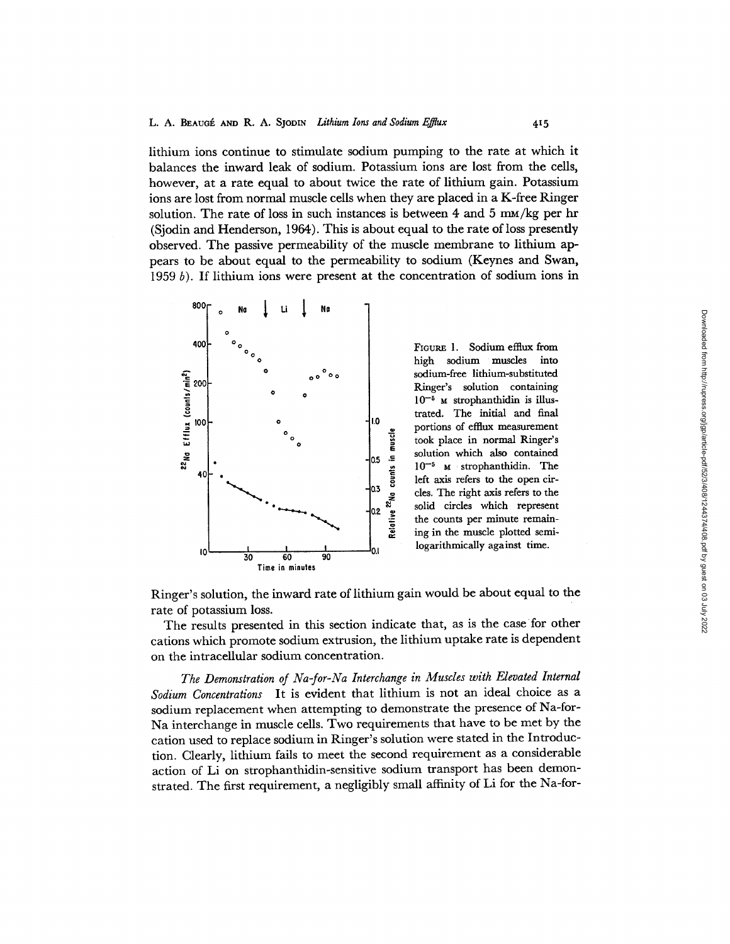lithium ions continue to stimulate sodium pumping to the rate at which it balances the inward leak of sodium. Potassium ions are lost from the cells, however, at a rate equal to about twice the rate of lithium gain. Potassium ions are lost from normal muscle cells when they are placed in a K-free Ringer solution. The rate of loss in such instances is between 4 and 5  $\text{mM/kg}$  per hr (Sjodin and Henderson, 1964). This is about equal to the rate of loss presently observed. The passive permeability of the muscle membrane to lithium appears to be about equal to the permeability to sodium (Keynes and Swan, 1959  $b$ ). If lithium ions were present at the concentration of sodium ions in



FIGURE 1. Sodium efflux from<br>high sodium muscles into high sodium muscles sodium-free lithium-substituted Ringer's solution containing  $10^{-5}$  M strophanthidin is illustrated. The initial and final portions of efllux measurement took place in normal Ringer's solution which also contained  $10^{-5}$  M strophanthidin. The left axis refers to the open circles. The right axis refers to the solid circles which represent the counts per minute remaining in the muscle plotted semilogarithmically against time.

Ringer's solution, the inward rate of lithium gain would be about equal to the rate of potassium loss.

The results presented in this section indicate that, as is the case for other cations which promote sodium extrusion, the lithium uptake rate is dependent on the intracellular sodium concentration.

*The Demonstration of Na-for-Na Interchange in Muscles with Elevated Internal Sodium Concentrations* It is evident that lithium is not an ideal choice as a sodium replacement when attempting to demonstrate the presence of Na-for-Na interchange in muscle cells. Two requirements that have to be met by the cation used to replace sodium in Ringer's solution were stated in the Introduction. Clearly, lithium fails to meet the second requirement as a considerable action of Li on strophanthidin-sensifive sodium transport has been demonstrated. The first requirement, a negligibly small affinity of Li for the Na-for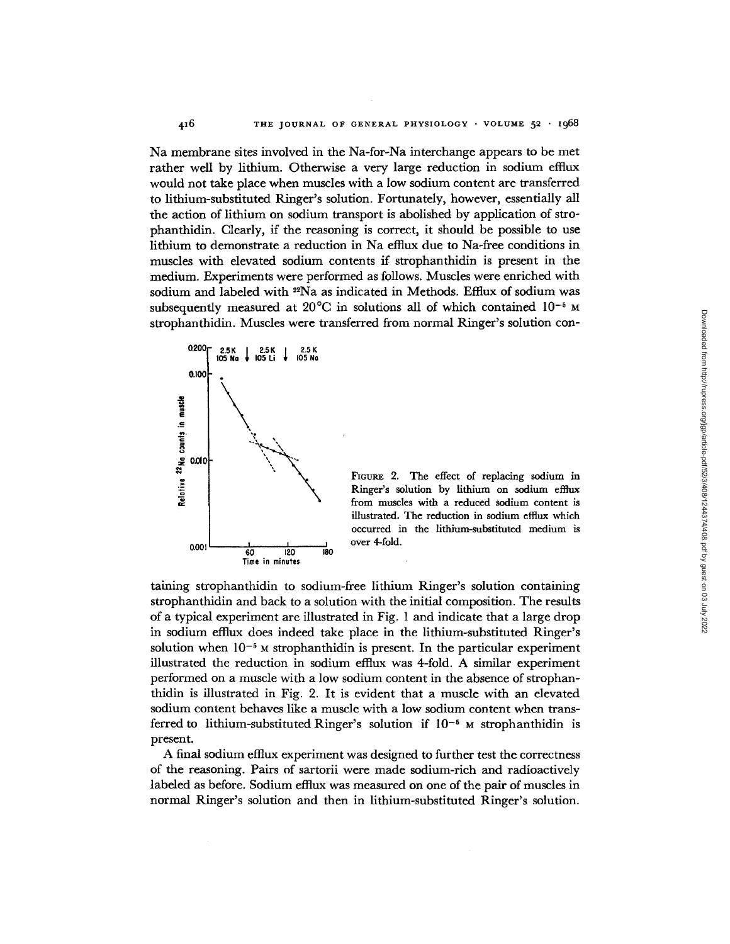Na membrane sites involved in the Na-for-Na interchange appears to be met rather well by lithium. Otherwise a very large reduction in sodium efflux would not take place when muscles with a low sodium content are transferred to lithium-substituted Ringer's solution. Fortunately, however, essentially all the action of lithium on sodium transport is abolished by application of strophanthidin. Clearly, if the reasoning is correct, it should be possible to use lithium to demonstrate a reduction in Na efflux due to Na-free conditions in muscles with elevated sodium contents if strophanthidin is present in the medium. Experiments were performed as follows. Muscles were enriched with sodium and labeled with 22Na as indicated in Methods. Efflux of sodium was subsequently measured at  $20^{\circ}$ C in solutions all of which contained  $10^{-5}$  M strophanthidin. Muscles were transferred from normal Ringer's solution con-



FIGURE 2. The effect of replacing sodium in Ringer's solution by lithium on sodium efflux from muscles with a reduced sodium content is illustrated. The reduction in sodium efflux which occurred in the lithium-substituted medium is over 4-fold.

taining strophanthidin to sodium-free lithium Ringer's solution containing strophanthidin and back to a solution with the initial composition. The results of a typical experiment are illustrated in Fig. 1 and indicate that a large drop in sodium efflux does indeed take place in the lithium-substituted Ringer's solution when  $10^{-5}$  *M* strophanthidin is present. In the particular experiment illustrated the reduction in sodium efflux was 4-fold. A similar experiment performed on a muscle with a low sodium content in the absence of strophanthidin is illustrated in Fig. 2. It is evident that a muscle with an elevated sodium content behaves like a muscle with a low sodium content when transferred to lithium-substituted Ringer's solution if  $10^{-5}$  M strophanthidin is present.

A final sodium effiux experiment was designed to further test the correctness of the reasoning. Pairs of sartorii were made sodium-rich and radioactively labeled as before. Sodium efflux was measured on one of the pair of muscles in normal Ringer's solution and then in lithium-substituted Ringer's solution.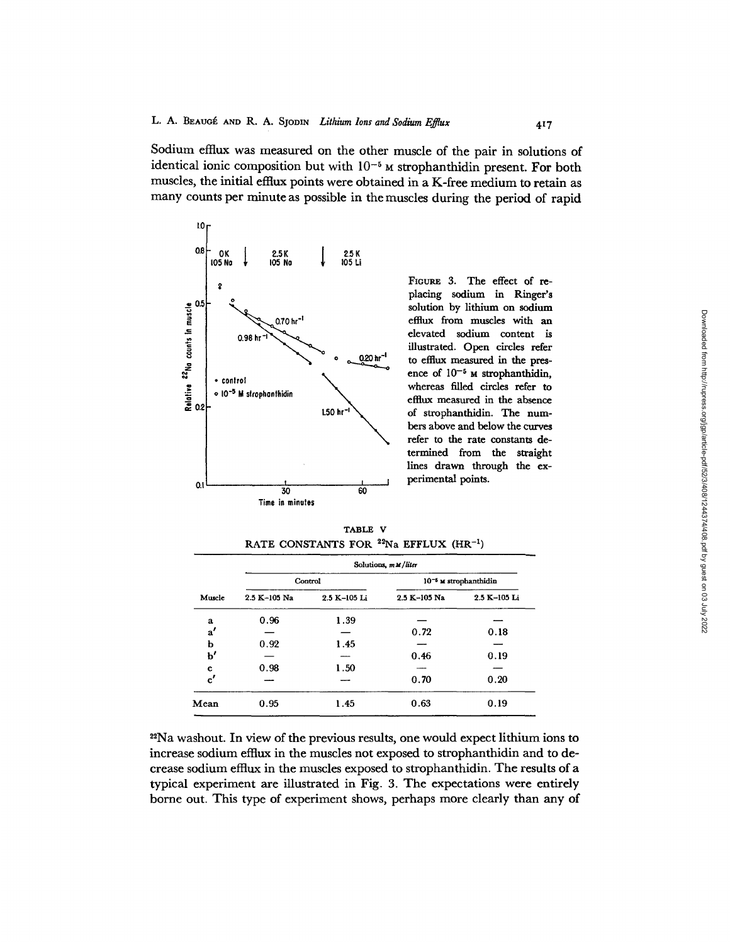Sodium efflux was measured on the other muscle of the pair in solutions of identical ionic composition but with  $10^{-5}$  *M* strophanthidin present. For both muscles, the initial effiux points were obtained in a K-free medium to retain as many counts per minute as possible in the muscles during the period of rapid



FIOURE 3. The effect of replacing sodium in Ringer's solution by lithium on sodium efflux from muscles with an elevated sodium content is illustrated. Open circles refer to efflux measured in the presence of  $10^{-5}$  M strophanthidin, whereas filled circles refer to efflux measured in the absence of strophanthidin. The numbers above and below the curves refer to the rate constants determined from the straight lines drawn through the **experimental** points.

TABLE V RATE CONSTANTS FOR  $22$ Na EFFLUX (HR<sup>-1</sup>)

|               | Solutions, mM/liter |              |              |                            |  |  |  |  |
|---------------|---------------------|--------------|--------------|----------------------------|--|--|--|--|
|               |                     | Control      |              | $10^{-6}$ M strophanthidin |  |  |  |  |
| Muscle        | $2.5 K - 105 Na$    | 2.5 K-105 Li | 2.5 K-105 Na | 2.5 K-105 Li               |  |  |  |  |
| a             | 0.96                | 1.39         |              |                            |  |  |  |  |
| $\mathbf{a'}$ |                     |              | 0.72         | 0.18                       |  |  |  |  |
| b             | 0.92                | 1.45         |              |                            |  |  |  |  |
| b'            |                     |              | 0.46         | 0.19                       |  |  |  |  |
| c             | 0.98                | 1.50         |              |                            |  |  |  |  |
| $\mathbf{c'}$ |                     |              | 0.70         | 0.20                       |  |  |  |  |
| Mean          | 0.95                | 1.45         | 0.63         | 0.19                       |  |  |  |  |

<sup>22</sup>Na washout. In view of the previous results, one would expect lithium ions to increase sodium effiux in the muscles not exposed to strophanthidin and to decrease sodium efflux in the muscles exposed to strophanthidin. The results of a typical experiment are illustrated in Fig. 3. The expectations were entirely borne out. This type of experiment shows, perhaps more clearly than any of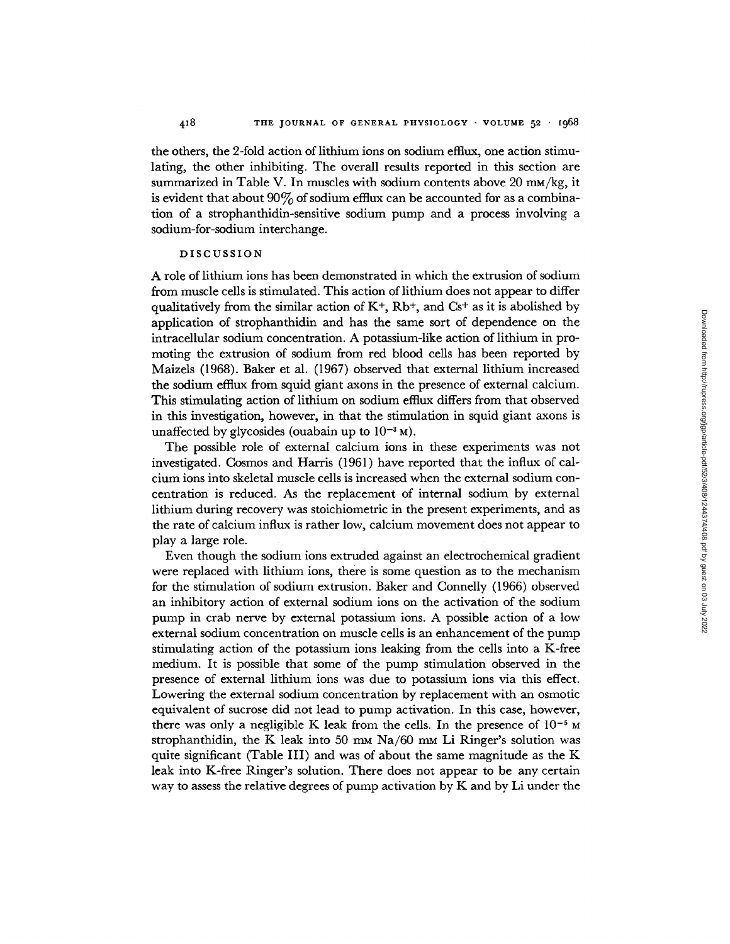the others, the 2-fold action of lithium ions on sodium efflux, one action stimulating, the other inhibiting. The overall results reported in this section are summarized in Table V. In muscles with sodium contents above  $20 \text{ mm/kg}$ , it is evident that about  $90\%$  of sodium efflux can be accounted for as a combination of a strophanthidin-sensitive sodium pump and a process involving a sodium-for-sodium interchange.

#### DISCUSSION

A role of lithium ions has been demonstrated in which the extrusion of sodium from muscle cells is stimulated. This action of lithium does not appear to differ qualitatively from the similar action of  $K^+$ ,  $Rb^+$ , and  $Cs^+$  as it is abolished by application of strophanthidin and has the same sort of dependence on the intracellular sodium concentration. A potassium-like action of lithium in promoting the extrusion of sodium from red blood cells has been reported by Maizels (1968). Baker et al. (1967) observed that external lithium increased the sodium efflux from squid giant axons in the presence of external calcium. This stimulating action of lithium on sodium efflux differs from that observed in this investigation, however, in that the stimulation in squid giant axons is unaffected by glycosides (ouabain up to  $10^{-3}$  M).

The possible role of external calcium ions in these experiments was not investigated. Cosmos and Harris (1961) have reported that the influx of calcium ions into skeletal muscle cells is increased when the external sodium concentration is reduced. As the replacement of internal sodium by external lithium during recovery was stoichiometric in the present experiments, and as the rate of calcium influx is rather low, calcium movement does not appear to play a large role.

Even though the sodium ions extruded against an electrochemical gradient were replaced with lithium ions, there is some question as to the mechanism for the stimulation of sodium extrusion. Baker and Connelly (1966) observed an inhibitory action of external sodium ions on the activation of the sodium pump in crab nerve by external potassium ions. A possible action of a low external sodium concentration on muscle cells is an enhancement of the pump stimulating action of the potassium ions leaking from the cells into a K-free medium. It is possible that some of the pump stimulation observed in the presence of external lithium ions was due to potassium ions via this effect. Lowering the external sodium concentration by replacement with an osmotic equivalent of sucrose did not lead to pump activation. In this case, however, there was only a negligible K leak from the cells. In the presence of  $10^{-5}$  M strophanthidin, the K leak into 50 mm  $Na/60$  mm Li Ringer's solution was quite significant (Table III) and was of about the same magnitude as the K leak into K-free Ringer's solution. There does not appear to be any certain way to assess the relative degrees of pump activation by  $K$  and by  $L$ i under the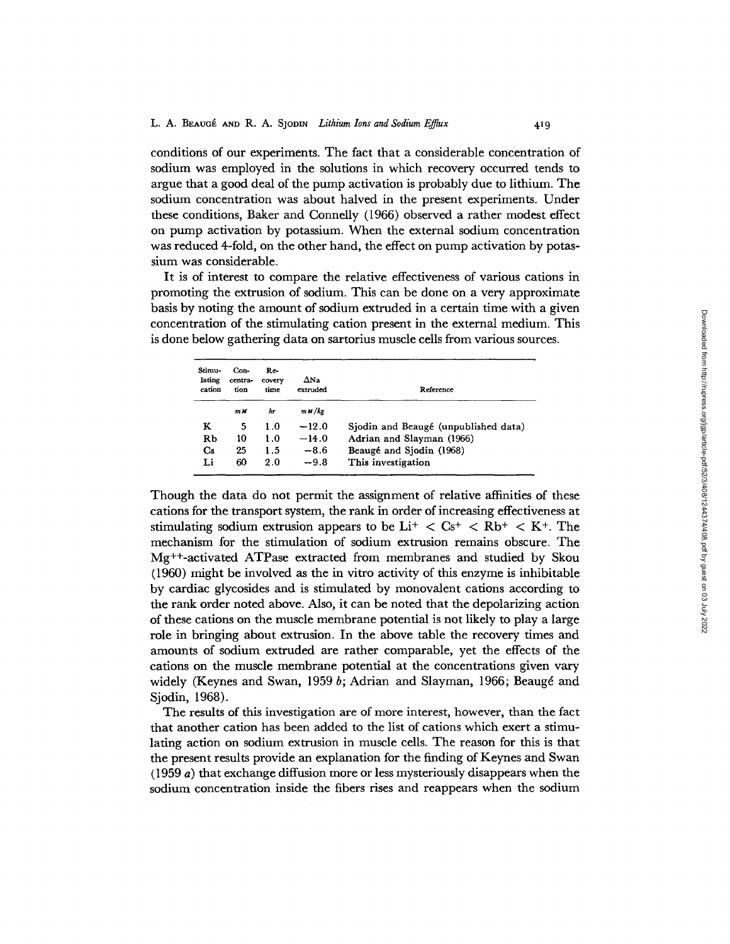conditions of our experiments. The fact that a considerable concentration of sodium was employed in the solutions in which recovery occurred tends to argue that a good deal of the pump activation is probably due to lithium. The sodium concentration was about halved in the present experiments. Under these conditions, Baker and Connelly (1966) observed a rather modest effect on pump activation by potassium. When the external sodium concentration was reduced 4-fold, on the other hand, the effect on pump activation by potassium was considerable.

It is of interest to compare the relative effectiveness of various cations in promoting the extrusion of sodium. This can be done on a very approximate basis by noting the amount of sodium extruded in a certain time with a given concentration of the stimulating cation present in the external medium. This is done below gathering data on sartorius muscle cells from various sources.

| Stimu-<br>lating<br>cation | Con-<br>centra-<br>tion | Re-<br>covery<br>time | $\Delta$ Na<br>extruded | Reference                            |
|----------------------------|-------------------------|-----------------------|-------------------------|--------------------------------------|
|                            | m M                     | hr                    | m M/kg                  |                                      |
| ĸ                          | 5                       | 1.0                   | $-12.0$                 | Sjodin and Beaugé (unpublished data) |
| Rb                         | 10                      | 1.0                   | $-14.0$                 | Adrian and Slayman (1966)            |
| $\bf Cs$                   | 25                      | 1.5                   | $-8.6$                  | Beaugé and Sjodin (1968)             |
| Li                         | 60                      | 2.0                   | $-9.8$                  | This investigation                   |

Though the data do not permit the assignment of relative affinities of these cations for the transport system, the rank in order of increasing effectiveness at stimulating sodium extrusion appears to be  $Li^+ < Cs^+ < Rb^+ < K^+$ . The mechanism for the stimulation of sodium extrusion remains obscure. The Mg++-activated ATPase extracted from membranes and studied by Skou (1960) might be involved as the in vitro activity of this enzyme is inhibitable by cardiac glycosides and is stimulated by monovalent cations according to the rank order noted above. Also, it can be noted that the depolarizing action of these cations on the muscle membrane potential is not likely to play a large role in bringing about extrusion. In the above table the recovery times and amounts of sodium extruded are rather comparable, yet the effects of the cations on the muscle membrane potential at the concentrations given vary widely (Keynes and Swan, 1959  $b$ ; Adrian and Slayman, 1966; Beaugé and Sjodin, 1968).

The results of this investigation are of more interest, however, than the fact that another cation has been added to the list of cations which exert a stimulating action on sodium extrusion in muscle cells. The reason for this is that the present results provide an explanation for the finding of Keynes and Swan (1959 a) that exchange diffusion more or less mysteriously disappears when the sodium concentration inside the fibers rises and reappears when the sodium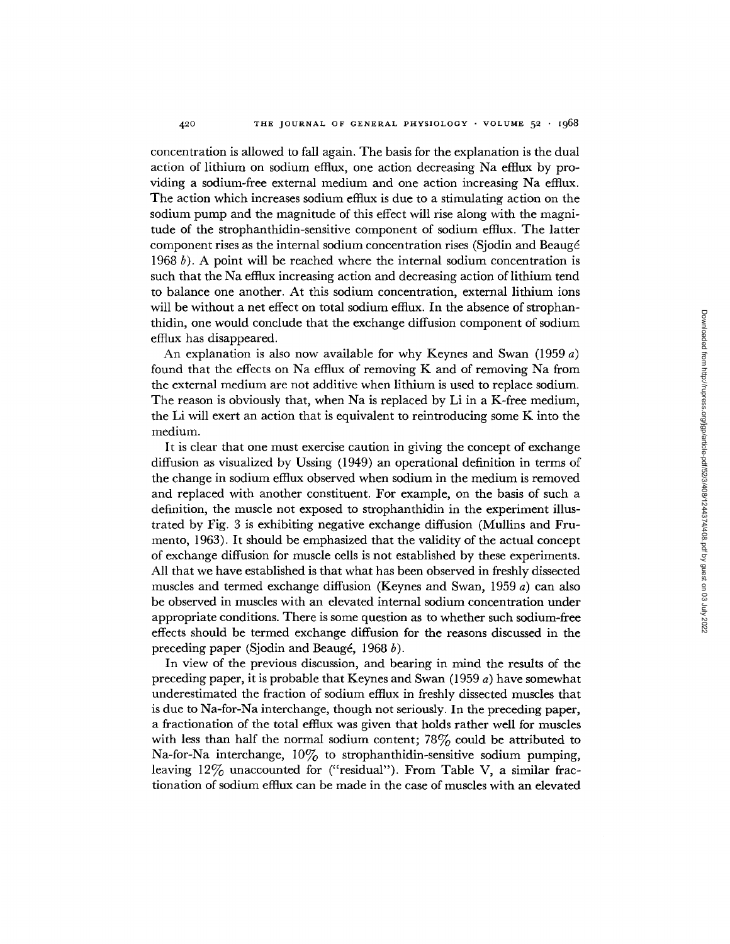concentration is allowed to fall again. The basis for the explanation is the dual action of lithium on sodium efflux, one action decreasing Na efflux by providing a sodium-free external medium and one action increasing Na efflux. The action which increases sodium efflux is due to a stimulating action on the sodium pump and the magnitude of this effect will rise along with the magnitude of the strophanthidin-sensitive component of sodium efflux. The latter component rises as the internal sodium concentration rises (Sjodin and Beaugé 1968 b). A point will be reached where the internal sodium concentration is such that the Na efflux increasing action and decreasing action of lithium tend to balance one another. At this sodium concentration, external lithium ions will be without a net effect on total sodium efflux. In the absence of strophanthidin, one would conclude that the exchange diffusion component of sodium efflux has disappeared.

An explanation is also now available for why Keynes and Swan (1959 a) found that the effects on Na efflux of removing K and of removing Na from the external medium are not additive when lithium is used to replace sodium. The reason is obviously that, when Na is replaced by Li in a K-free medium, the Li will exert an action that is equivalent to reintroducing some K into the medium.

It is clear that one must exercise caution in giving the concept of exchange diffusion as visualized by Ussing (1949) an operational definition in terms of the change in sodium efflux observed when sodium in the medium is removed and replaced with another constituent. For example, on the basis of such a definition, the muscle not exposed to strophanthidin in the experiment illustrated by Fig. 3 is exhibiting negative exchange diffusion (Mullins and Frumento, 1963). It should be emphasized that the validity of the actual concept of exchange diffusion for muscle cells is not established by these experiments. All that we have established is that what has been observed in freshly dissected muscles and termed exchange diffusion (Keynes and Swan, 1959 a) can also be observed in muscles with an elevated internal sodium concentration under appropriate conditions. There is some question as to whether such sodium-free effects should be termed exchange diffusion for the reasons discussed in the preceding paper (Sjodin and Beaugé, 1968 b).

In view of the previous discussion, and bearing in mind the results of the preceding paper, it is probable that Keynes and Swan (1959 a) have somewhat underestimated the fraction of sodium efflux in freshly dissected muscles that is due to Na-for-Na interchange, though not seriously. In the preceding paper, a fractionation of the total efflux was given that holds rather well for muscles with less than half the normal sodium content;  $78\%$  could be attributed to Na-for-Na interchange,  $10\%$  to strophanthidin-sensitive sodium pumping, leaving 12% unaccounted for ("residual"). From Table V, a similar fractionation of sodium efflux can be made in the case of muscles with an elevated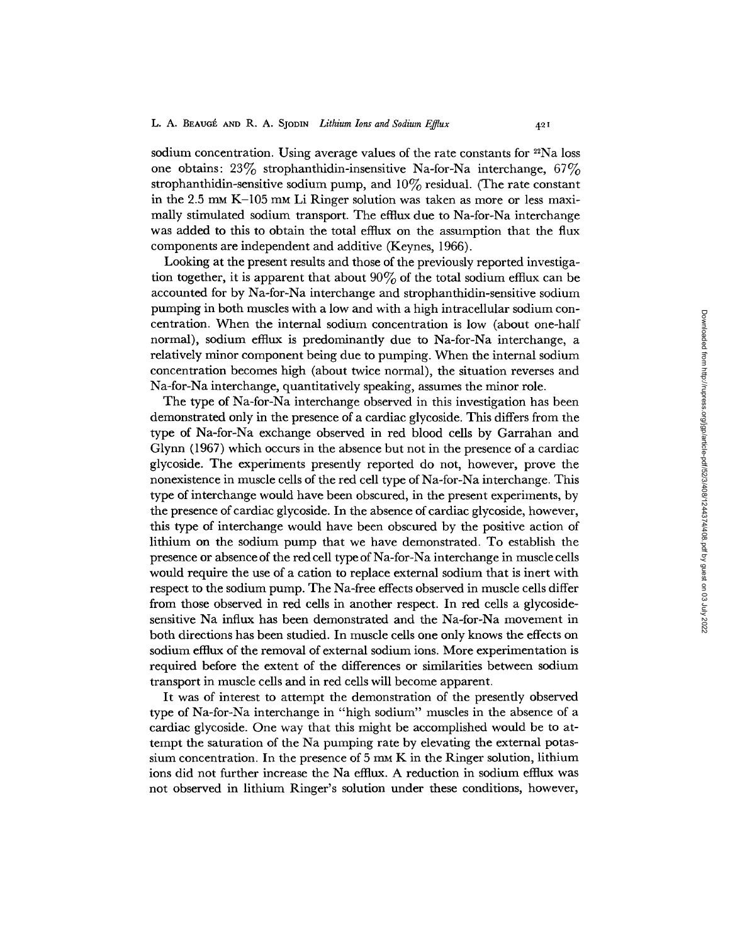sodium concentration. Using average values of the rate constants for <sup>22</sup>Na loss one obtains:  $23\%$  strophanthidin-insensitive Na-for-Na interchange,  $67\%$ strophanthidin-sensitive sodium pump, and  $10\%$  residual. (The rate constant in the 2.5 mm K-105 mm Li Ringer solution was taken as more or less maximally stimulated sodium transport. The efflux due to Na-for-Na interchange was added to this to obtain the total effiux on the assumption that the flux components are independent and additive (Keynes, 1966).

Looking at the present results and those of the previously reported investigation together, it is apparent that about  $90\%$  of the total sodium efflux can be accounted for by Na-for-Na interchange and strophanthidin-sensitive sodium pumping in both muscles with a low and with a high intracellular sodium concentration. When the internal sodium concentration is low (about one-half normal), sodium efflux is predominantly due to Na-for-Na interchange, a relatively minor component being due to pumping. When the internal sodium concentration becomes high (about twice normal), the situation reverses and Na-for-Na interchange, quantitatively speaking, assumes the minor role.

The type of Na-for-Na interchange observed in this investigation has been demonstrated only in the presence of a cardiac glycoside. This differs from the type of Na-for-Na exchange observed in red blood cells by Garrahan and Glynn (1967) which occurs in the absence but not in the presence of a cardiac glycoside. The experiments presently reported do not, however, prove the nonexistence in muscle cells of the red cell type of Na-for-Na interchange. This type of interchange would have been obscured, in the present experiments, by the presence of cardiac glycoside. In the absence of cardiac glycoside, however, this type of interchange would have been obscured by the positive action of lithium on the sodium pump that we have demonstrated. To establish the presence or absence of the red cell type of Na-for-Na interchange in muscle cells would require the use of a cation to replace external sodium that is inert with respect to the sodium pump. The Na-free effects observed in muscle cells differ from those observed in red cells in another respect. In red cells a glycosidesensitive Na influx has been demonstrated and the Na-for-Na movement in both directions has been studied. In muscle cells one only knows the effects on sodium efflux of the removal of external sodium ions. More experimentation is required before the extent of the differences or similarities between sodium transport in muscle cells and in red cells will become apparent.

It was of interest to attempt the demonstration of the presently observed type of Na-for-Na interchange in "high sodium" muscles in the absence of a cardiac glycoside. One way that this might be accomplished would be to attempt the saturation of the Na pumping rate by elevating the external potassium concentration. In the presence of  $5~\text{m}$  K in the Ringer solution, lithium ions did not further increase the Na efflux. A reduction in sodium efflux was not observed in lithium Ringer's solution under these conditions, however,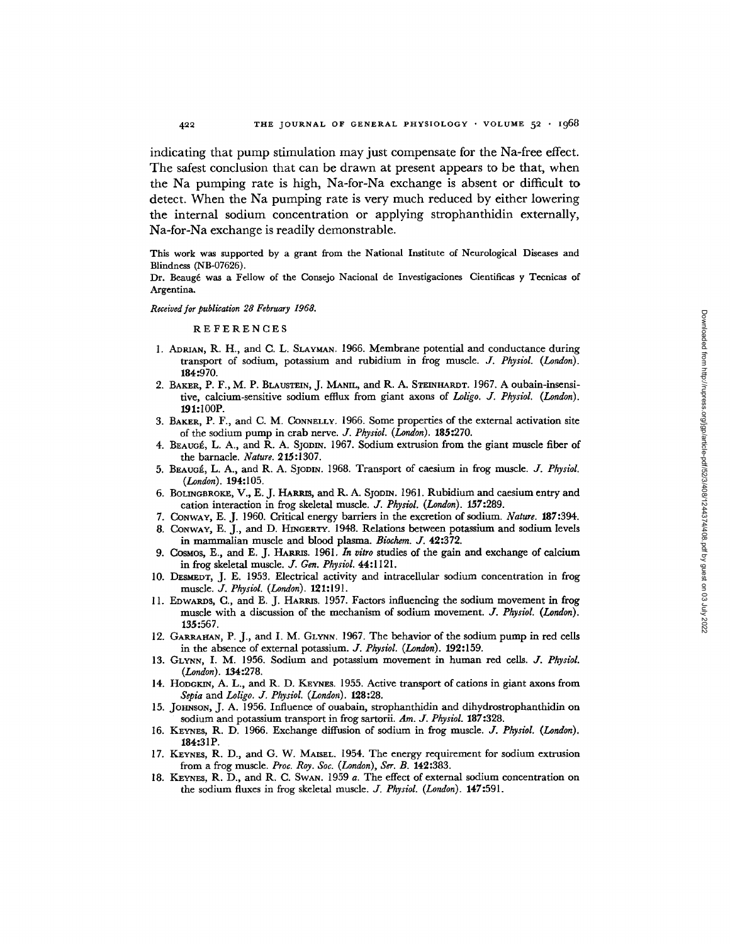indicating that pump stimulation may just compensate for the Na-free effect. The safest conclusion that can be drawn at present appears to be that, when the Na pumping rate is high, Na-for-Na exchange is absent or difficult to detect. When the Na pumping rate is very much reduced by either lowering the internal sodium concentration or applying strophanthidin externally, Na-for-Na exchange is readily demonstrable.

This work was supported by a grant from the National Institute of Neurological Diseases and Blindness (NB-07626).

Dr. Beaug6 was a Fellow of the Comejo Nacional de Investigaciones Cientificas y Tecnicas of Argentina.

#### *Received for publication 28 February 1968.*

REFERENCES

- I. ADRIAN, R. H., and C. L. SLAYMAN, 1966. Membrane potential and conductance during transport of sodium, potassium and rubidium in frog muscle. *J. Physiol. (London).*  184:970.
- 2. BAKER, P. F., M. P. BLAUSTEIN, J. MANIL, and R. A. STEINHARDT. 1967. A oubain-insensitire, calcium-sensitive sodium efflux from giant axons of *Loligo. J. Physiol. (London).*  191:100P.
- 3. BAKER, P. F., and C. M. CONNELLY. 1966. Some properties of the external activation site of the sodium pump in crab nerve. *J. Physiol. (London).* 185:270.
- 4. BEAUGÉ, L. A., and R. A. SJODIN. 1967. Sodium extrusion from the giant muscle fiber of the barnacle. *Nature.* 215:1307.
- 5. BEAUOk., L. A., and R. A. SJODrN. 1968. Transport of caesium in frog muscle. *J. Physiol. (London).* 194:105.
- 6. BOLINGBROKE, V., E. J. HARRIS, and R. A. SJODIN. 1961. Rubidium and caesium entry and cation interaction in frog skeletal muscle. *J. Physiol. (London).* 157:289.
- 7. CONWAY, E. J. 1960. Critical energy barriers in the excretion of sodium. *Nature.* 187:394.
- 8. CONWAY, E. J., and D. HINGERTY. 1948. Relations between potassium and sodium levels in mammalian muscle and blood plasma. *Biochem. J.* 42:372.
- 9. CosMos, E., and E. J. HARRIS. 1961. *In vitro* studies of the gain and exchange of calcium in frog skeletal muscle. *J. Gen. Physiol.* 44:1121.
- 10. DESMEDT, J. E. 1953. Electrical activity and intracellular sodium concentration in frog muscle. *J. Physiol. (London).* 121:191.
- 11. EDWARDS, C., and E. J. HARms. 1957. Factors influencing the sodium movement in frog muscle with a discussion of the mechanism of sodium movement. *J. Physiol.* (London). 135:567.
- 12. GARRAHAN, P. J., and I. M. GLYNN. 1967. The behavior of the sodium pump in red cells in the absence of external potassium. *J. Physiol. (London).* 192:159.
- 13. GLYNN, I. M. 1956. Sodium and potassium movement in human red cells, *d. Physiol. (London).* 134:278.
- 14. HODGKm, A. L., and R. D. KEYNES. 1955. Active transport of cations in giant axons from *Sepia* and *Loligo. J. Physiol. (London).* 128:28.
- 15. JOHNSON, J. A. 1956. Influence of ouabain, strophanthidin and dihydrostrophanthidin on sodium and potassium transport in frog sartorii. *Am. J. Physiol.* 187:328.
- 16. KEYNES, R. D. 1966. Exchange diffusion of sodium in frog muscle. *J. Physiol. (London).*  184:31P.
- 17. KEYNES, R. D., and G. W. MAISEL. 1954. The energy requirement for sodium extrusion from a frog muscle. *Pro¢. Roy. Soc. (London), Set. B.* 142:383.
- 18. KEYNES, R. D., and R. C. SWAN. 1959 a. The effect of external sodium concentration on the sodium fluxes in frog skeletal muscle. *J. Physiol. (London).* 147:591.